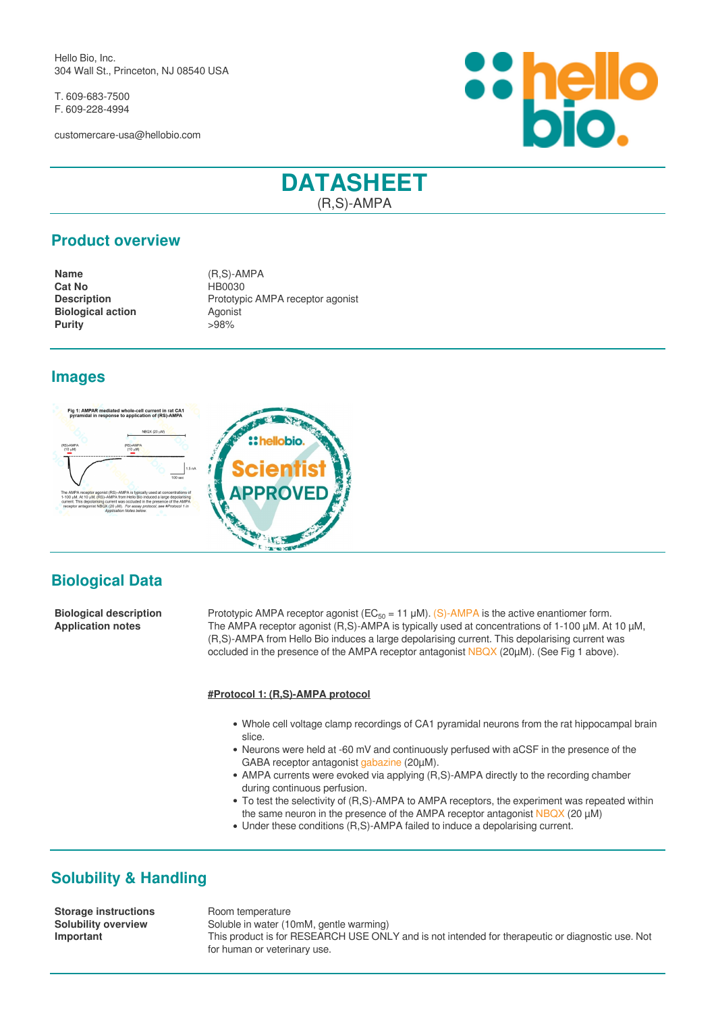Hello Bio, Inc. 304 Wall St., Princeton, NJ 08540 USA

T. 609-683-7500 F. 609-228-4994

customercare-usa@hellobio.com



# **DATASHEET** (R,S)-AMPA

### **Product overview**

**Name** (R,S)-AMPA **Cat No** HB0030 **Biological action**<br> **Purity**  $>98\%$ **Purity** 

**Description** Prototypic AMPA receptor agonist

### **Images**





**Biological description** Prototypic AMPA receptor agonist (EC<sub>50</sub> = 11 µM). [\(S\)-AMPA](https://hellobio.com/sampa.html) is the active enantiomer form.<br>**Application notes** The AMPA receptor agonist (R,S)-AMPA is typically used at concentrations of 1-100 µM. The AMPA receptor agonist (R,S)-AMPA is typically used at concentrations of 1-100 µM. At 10 µM, (R,S)-AMPA from Hello Bio induces a large depolarising current. This depolarising current was occluded in the presence of the AMPA receptor antagonist [NBQX](https://hellobio.com/nbqx-disodium-salt.html) (20µM). (See Fig 1 above).

#### **#Protocol 1: (R,S)-AMPA protocol**

 $-15$ 

- Whole cell voltage clamp recordings of CA1 pyramidal neurons from the rat hippocampal brain slice.
- Neurons were held at -60 mV and continuously perfused with aCSF in the presence of the GABA receptor antagonist [gabazine](https://hellobio.com/sr-95531-hydrobromide.html) (20µM).
- AMPA currents were evoked via applying (R,S)-AMPA directly to the recording chamber during continuous perfusion.
- To test the selectivity of (R,S)-AMPA to AMPA receptors, the experiment was repeated within the same neuron in the presence of the AMPA receptor antagonist [NBQX](https://hellobio.com/nbqx-disodium-salt.html) (20 µM)
- Under these conditions (R,S)-AMPA failed to induce a depolarising current.

# **Solubility & Handling**

**Storage instructions** Room temperature

**Solubility overview** Soluble in water (10mM, gentle warming) **Important** This product is for RESEARCH USE ONLY and is not intended for therapeutic or diagnostic use. Not for human or veterinary use.